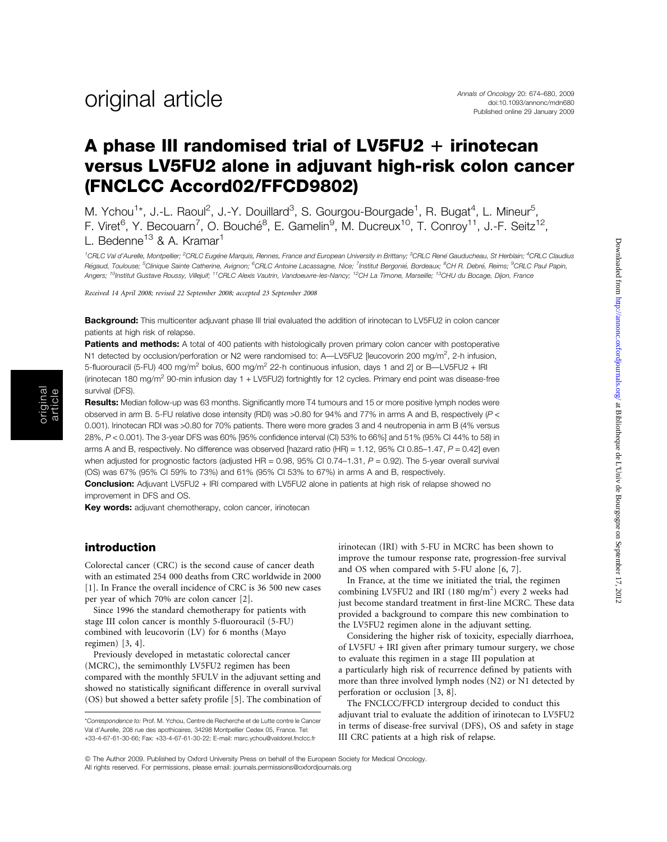## A phase III randomised trial of LV5FU2  $+$  irinotecan versus LV5FU2 alone in adjuvant high-risk colon cancer (FNCLCC Accord02/FFCD9802)

M. Ychou<sup>1\*</sup>, J.-L. Raoul<sup>2</sup>, J.-Y. Douillard<sup>3</sup>, S. Gourgou-Bourgade<sup>1</sup>, R. Bugat<sup>4</sup>, L. Mineur<sup>5</sup>, F. Viret<sup>6</sup>, Y. Becouarn<sup>7</sup>, O. Bouché<sup>8</sup>, E. Gamelin<sup>9</sup>, M. Ducreux<sup>10</sup>, T. Conroy<sup>11</sup>, J.-F. Seitz<sup>12</sup>, L. Bedenne<sup>13</sup> & A. Kramar<sup>1</sup>

<sup>1</sup>CRLC Val d'Aurelle, Montpellier; <sup>2</sup>CRLC Eugène Marquis, Rennes, France and European University in Brittany; <sup>3</sup>CRLC René Gauducheau, St Herblain; <sup>4</sup>CRLC Claudius Régaud, Toulouse; <sup>5</sup>Clinique Sainte Catherine, Avignon; <sup>6</sup>CRLC Antoine Lacassagne, Nice; <sup>7</sup>Institut Bergonié, Bordeaux; <sup>8</sup>CH R. Debré, Reims; <sup>9</sup>CRLC Paul Papin, Angers; <sup>10</sup>Institut Gustave Roussy, Villejuif; <sup>11</sup>CRLC Alexis Vautrin, Vandoeuvre-les-Nancy; <sup>12</sup>CH La Timone, Marseille; <sup>13</sup>CHU du Bocage, Dijon, France

Received 14 April 2008; revised 22 September 2008; accepted 23 September 2008

Background: This multicenter adjuvant phase III trial evaluated the addition of irinotecan to LV5FU2 in colon cancer patients at high risk of relapse.

Patients and methods: A total of 400 patients with histologically proven primary colon cancer with postoperative N1 detected by occlusion/perforation or N2 were randomised to: A—LV5FU2 [leucovorin 200 mg/m<sup>2</sup>, 2-h infusion, 5-fluorouracil (5-FU) 400 mg/m<sup>2</sup> bolus, 600 mg/m<sup>2</sup> 22-h continuous infusion, days 1 and 21 or B—LV5FU2 + IRI (irinotecan 180 mg/m<sup>2</sup> 90-min infusion day 1 + LV5FU2) fortnightly for 12 cycles. Primary end point was disease-free survival (DFS).

Results: Median follow-up was 63 months. Significantly more T4 tumours and 15 or more positive lymph nodes were observed in arm B. 5-FU relative dose intensity (RDI) was >0.80 for 94% and 77% in arms A and B, respectively (P < 0.001). Irinotecan RDI was >0.80 for 70% patients. There were more grades 3 and 4 neutropenia in arm B (4% versus 28%, P < 0.001). The 3-year DFS was 60% [95% confidence interval (CI) 53% to 66%] and 51% (95% CI 44% to 58) in arms A and B, respectively. No difference was observed [hazard ratio (HR) = 1.12,  $95\%$  CI 0.85–1.47,  $P = 0.42$ ] even when adjusted for prognostic factors (adjusted  $HR = 0.98$ ,  $95\%$  CI 0.74-1.31,  $P = 0.92$ ). The 5-year overall survival (OS) was 67% (95% CI 59% to 73%) and 61% (95% CI 53% to 67%) in arms A and B, respectively.

**Conclusion:** Adjuvant LV5FU2 + IRI compared with LV5FU2 alone in patients at high risk of relapse showed no improvement in DFS and OS.

Key words: adjuvant chemotherapy, colon cancer, irinotecan

#### introduction

original article

> Colorectal cancer (CRC) is the second cause of cancer death with an estimated 254 000 deaths from CRC worldwide in 2000 [1]. In France the overall incidence of CRC is 36 500 new cases per year of which 70% are colon cancer [2].

Since 1996 the standard chemotherapy for patients with stage III colon cancer is monthly 5-fluorouracil (5-FU) combined with leucovorin (LV) for 6 months (Mayo regimen) [3, 4].

Previously developed in metastatic colorectal cancer (MCRC), the semimonthly LV5FU2 regimen has been compared with the monthly 5FULV in the adjuvant setting and showed no statistically significant difference in overall survival (OS) but showed a better safety profile [5]. The combination of irinotecan (IRI) with 5-FU in MCRC has been shown to improve the tumour response rate, progression-free survival and OS when compared with 5-FU alone [6, 7].

In France, at the time we initiated the trial, the regimen combining LV5FU2 and IRI (180 mg/m<sup>2</sup>) every 2 weeks had just become standard treatment in first-line MCRC. These data provided a background to compare this new combination to the LV5FU2 regimen alone in the adjuvant setting.

Considering the higher risk of toxicity, especially diarrhoea, of LV5FU + IRI given after primary tumour surgery, we chose to evaluate this regimen in a stage III population at

a particularly high risk of recurrence defined by patients with more than three involved lymph nodes (N2) or N1 detected by perforation or occlusion [3, 8].

The FNCLCC/FFCD intergroup decided to conduct this adjuvant trial to evaluate the addition of irinotecan to LV5FU2 in terms of disease-free survival (DFS), OS and safety in stage III CRC patients at a high risk of relapse.

<sup>\*</sup>Correspondence to: Prof. M. Ychou, Centre de Recherche et de Lutte contre le Cancer Val d'Aurelle, 208 rue des apothicaires, 34298 Montpellier Cedex 05, France. Tel: +33-4-67-61-30-66; Fax: +33-4-67-61-30-22; E-mail: marc.ychou@valdorel.fnclcc.fr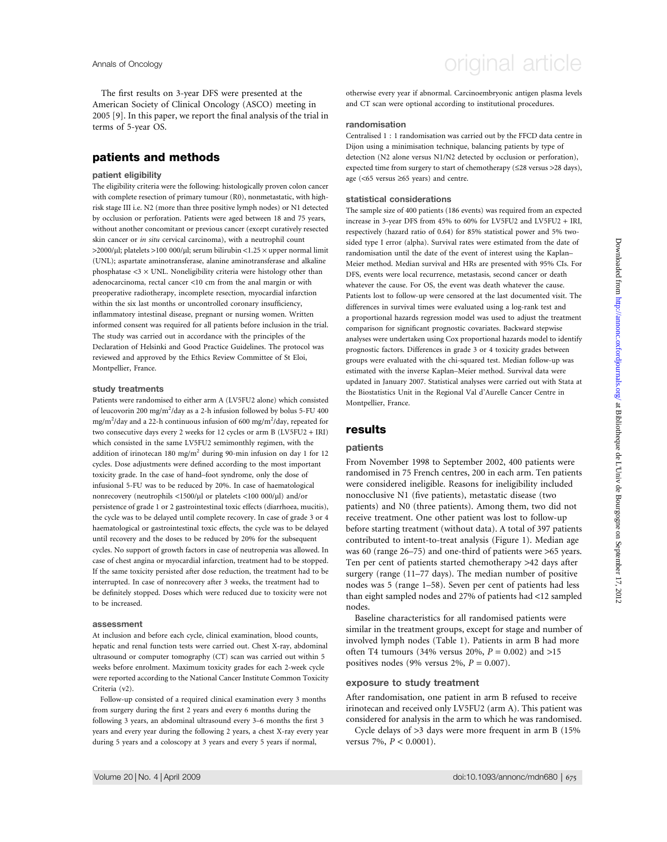The first results on 3-year DFS were presented at the American Society of Clinical Oncology (ASCO) meeting in 2005 [9]. In this paper, we report the final analysis of the trial in terms of 5-year OS.

### patients and methods

#### patient eligibility

The eligibility criteria were the following: histologically proven colon cancer with complete resection of primary tumour (R0), nonmetastatic, with highrisk stage III i.e. N2 (more than three positive lymph nodes) or N1 detected by occlusion or perforation. Patients were aged between 18 and 75 years, without another concomitant or previous cancer (except curatively resected skin cancer or in situ cervical carcinoma), with a neutrophil count  $>$ 2000/µl; platelets  $>$ 100 000/µl; serum bilirubin <1.25  $\times$  upper normal limit (UNL); aspartate aminotransferase, alanine aminotransferase and alkaline phosphatase  $\langle 3 \times \text{UNL} \rangle$ . Noneligibility criteria were histology other than adenocarcinoma, rectal cancer <10 cm from the anal margin or with preoperative radiotherapy, incomplete resection, myocardial infarction within the six last months or uncontrolled coronary insufficiency, inflammatory intestinal disease, pregnant or nursing women. Written informed consent was required for all patients before inclusion in the trial. The study was carried out in accordance with the principles of the Declaration of Helsinki and Good Practice Guidelines. The protocol was reviewed and approved by the Ethics Review Committee of St Eloi, Montpellier, France.

#### study treatments

Patients were randomised to either arm A (LV5FU2 alone) which consisted of leucovorin 200 mg/m<sup>2</sup>/day as a 2-h infusion followed by bolus 5-FU 400 mg/m<sup>2</sup>/day and a 22-h continuous infusion of 600 mg/m<sup>2</sup>/day, repeated for two consecutive days every 2 weeks for 12 cycles or arm B (LV5FU2 + IRI) which consisted in the same LV5FU2 semimonthly regimen, with the addition of irinotecan 180 mg/m2 during 90-min infusion on day 1 for 12 cycles. Dose adjustments were defined according to the most important toxicity grade. In the case of hand–foot syndrome, only the dose of infusional 5-FU was to be reduced by 20%. In case of haematological nonrecovery (neutrophils <1500/µl or platelets <100 000/µl) and/or persistence of grade 1 or 2 gastrointestinal toxic effects (diarrhoea, mucitis), the cycle was to be delayed until complete recovery. In case of grade 3 or 4 haematological or gastrointestinal toxic effects, the cycle was to be delayed until recovery and the doses to be reduced by 20% for the subsequent cycles. No support of growth factors in case of neutropenia was allowed. In case of chest angina or myocardial infarction, treatment had to be stopped. If the same toxicity persisted after dose reduction, the treatment had to be interrupted. In case of nonrecovery after 3 weeks, the treatment had to be definitely stopped. Doses which were reduced due to toxicity were not to be increased.

#### assessment

At inclusion and before each cycle, clinical examination, blood counts, hepatic and renal function tests were carried out. Chest X-ray, abdominal ultrasound or computer tomography (CT) scan was carried out within 5 weeks before enrolment. Maximum toxicity grades for each 2-week cycle were reported according to the National Cancer Institute Common Toxicity Criteria (v2).

Follow-up consisted of a required clinical examination every 3 months from surgery during the first 2 years and every 6 months during the following 3 years, an abdominal ultrasound every 3–6 months the first 3 years and every year during the following 2 years, a chest X-ray every year during 5 years and a coloscopy at 3 years and every 5 years if normal,

## Annals of Oncology **Annals of Oncology** original article

otherwise every year if abnormal. Carcinoembryonic antigen plasma levels and CT scan were optional according to institutional procedures.

#### randomisation

Centralised 1 : 1 randomisation was carried out by the FFCD data centre in Dijon using a minimisation technique, balancing patients by type of detection (N2 alone versus N1/N2 detected by occlusion or perforation), expected time from surgery to start of chemotherapy ( $\leq$ 28 versus >28 days), age ( $<65$  versus  $\geq 65$  years) and centre.

#### statistical considerations

The sample size of 400 patients (186 events) was required from an expected increase in 3-year DFS from 45% to 60% for LV5FU2 and LV5FU2 + IRI, respectively (hazard ratio of 0.64) for 85% statistical power and 5% twosided type I error (alpha). Survival rates were estimated from the date of randomisation until the date of the event of interest using the Kaplan– Meier method. Median survival and HRs are presented with 95% CIs. For DFS, events were local recurrence, metastasis, second cancer or death whatever the cause. For OS, the event was death whatever the cause. Patients lost to follow-up were censored at the last documented visit. The differences in survival times were evaluated using a log-rank test and a proportional hazards regression model was used to adjust the treatment comparison for significant prognostic covariates. Backward stepwise analyses were undertaken using Cox proportional hazards model to identify prognostic factors. Differences in grade 3 or 4 toxicity grades between groups were evaluated with the chi-squared test. Median follow-up was estimated with the inverse Kaplan–Meier method. Survival data were updated in January 2007. Statistical analyses were carried out with Stata at the Biostatistics Unit in the Regional Val d'Aurelle Cancer Centre in Montpellier, France.

### results

#### patients

From November 1998 to September 2002, 400 patients were randomised in 75 French centres, 200 in each arm. Ten patients were considered ineligible. Reasons for ineligibility included nonocclusive N1 (five patients), metastatic disease (two patients) and N0 (three patients). Among them, two did not receive treatment. One other patient was lost to follow-up before starting treatment (without data). A total of 397 patients contributed to intent-to-treat analysis (Figure 1). Median age was 60 (range 26–75) and one-third of patients were >65 years. Ten per cent of patients started chemotherapy >42 days after surgery (range (11–77 days). The median number of positive nodes was 5 (range 1–58). Seven per cent of patients had less than eight sampled nodes and 27% of patients had <12 sampled nodes.

Baseline characteristics for all randomised patients were similar in the treatment groups, except for stage and number of involved lymph nodes (Table 1). Patients in arm B had more often T4 tumours (34% versus 20%,  $P = 0.002$ ) and >15 positives nodes (9% versus 2%,  $P = 0.007$ ).

#### exposure to study treatment

After randomisation, one patient in arm B refused to receive irinotecan and received only LV5FU2 (arm A). This patient was considered for analysis in the arm to which he was randomised.

Cycle delays of >3 days were more frequent in arm B (15% versus 7%,  $P < 0.0001$ ).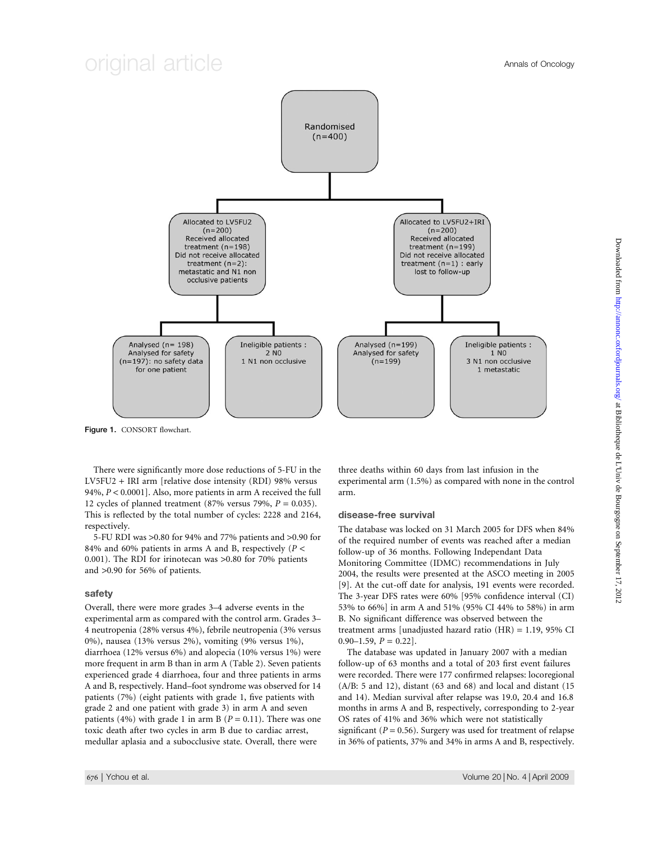## original article Annals of Oncology



Figure 1. CONSORT flowchart.

There were significantly more dose reductions of 5-FU in the LV5FU2 + IRI arm [relative dose intensity (RDI) 98% versus 94%,  $P < 0.0001$ ]. Also, more patients in arm A received the full 12 cycles of planned treatment (87% versus 79%,  $P = 0.035$ ). This is reflected by the total number of cycles: 2228 and 2164, respectively.

5-FU RDI was >0.80 for 94% and 77% patients and >0.90 for 84% and 60% patients in arms A and B, respectively ( $P <$ 0.001). The RDI for irinotecan was >0.80 for 70% patients and >0.90 for 56% of patients.

#### safety

Overall, there were more grades 3–4 adverse events in the experimental arm as compared with the control arm. Grades 3– 4 neutropenia (28% versus 4%), febrile neutropenia (3% versus 0%), nausea (13% versus 2%), vomiting (9% versus 1%), diarrhoea (12% versus 6%) and alopecia (10% versus 1%) were more frequent in arm B than in arm A (Table 2). Seven patients experienced grade 4 diarrhoea, four and three patients in arms A and B, respectively. Hand–foot syndrome was observed for 14 patients (7%) (eight patients with grade 1, five patients with grade 2 and one patient with grade 3) in arm A and seven patients (4%) with grade 1 in arm B ( $P = 0.11$ ). There was one toxic death after two cycles in arm B due to cardiac arrest, medullar aplasia and a subocclusive state. Overall, there were

three deaths within 60 days from last infusion in the experimental arm (1.5%) as compared with none in the control arm.

#### disease-free survival

The database was locked on 31 March 2005 for DFS when 84% of the required number of events was reached after a median follow-up of 36 months. Following Independant Data Monitoring Committee (IDMC) recommendations in July 2004, the results were presented at the ASCO meeting in 2005 [9]. At the cut-off date for analysis, 191 events were recorded. The 3-year DFS rates were 60% [95% confidence interval (CI) 53% to 66%] in arm A and 51% (95% CI 44% to 58%) in arm B. No significant difference was observed between the treatment arms [unadjusted hazard ratio (HR) = 1.19, 95% CI  $0.90-1.59$ ,  $P = 0.22$ ].

The database was updated in January 2007 with a median follow-up of 63 months and a total of 203 first event failures were recorded. There were 177 confirmed relapses: locoregional  $(A/B: 5 and 12)$ , distant  $(63 and 68)$  and local and distant  $(15$ and 14). Median survival after relapse was 19.0, 20.4 and 16.8 months in arms A and B, respectively, corresponding to 2-year OS rates of 41% and 36% which were not statistically significant ( $P = 0.56$ ). Surgery was used for treatment of relapse in 36% of patients, 37% and 34% in arms A and B, respectively.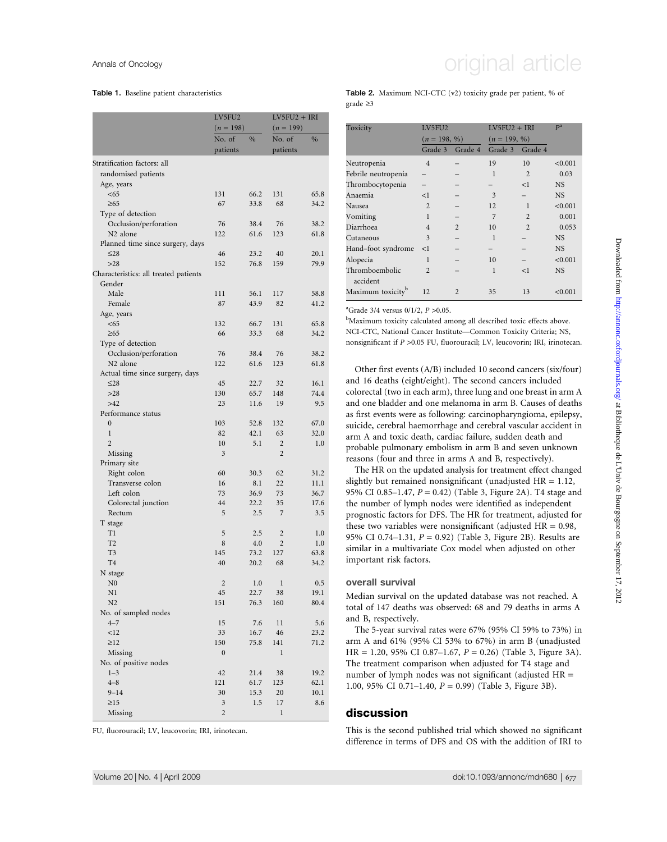#### Table 1. Baseline patient characteristics

|                                       | LV5FU2<br>$(n = 198)$ |               | $LV5FU2 + IRI$<br>$(n = 199)$ |               |
|---------------------------------------|-----------------------|---------------|-------------------------------|---------------|
|                                       | No. of                | $\frac{0}{0}$ | No. of                        | $\frac{0}{0}$ |
|                                       | patients              |               | patients                      |               |
| Stratification factors: all           |                       |               |                               |               |
| randomised patients                   |                       |               |                               |               |
| Age, years                            |                       |               |                               |               |
| < 65                                  | 131                   | 66.2          | 131                           | 65.8          |
| $\geq 65$                             | 67                    | 33.8          | 68                            | 34.2          |
| Type of detection                     |                       |               |                               |               |
| Occlusion/perforation                 | 76                    | 38.4          | 76                            | 38.2          |
| N <sub>2</sub> alone                  | 122                   | 61.6          | 123                           | 61.8          |
| Planned time since surgery, days      |                       |               |                               |               |
| $\leq$ 28                             | 46                    | 23.2          | 40                            | 20.1          |
| >28                                   | 152                   | 76.8          | 159                           | 79.9          |
| Characteristics: all treated patients |                       |               |                               |               |
| Gender                                |                       |               |                               |               |
| Male<br>Female                        | 111<br>87             | 56.1<br>43.9  | 117<br>82                     | 58.8<br>41.2  |
|                                       |                       |               |                               |               |
| Age, years<br>< 65                    | 132                   | 66.7          | 131                           | 65.8          |
| $\geq 65$                             | 66                    | 33.3          | 68                            | 34.2          |
| Type of detection                     |                       |               |                               |               |
| Occlusion/perforation                 | 76                    | 38.4          | 76                            | 38.2          |
| N <sub>2</sub> alone                  | 122                   | 61.6          | 123                           | 61.8          |
| Actual time since surgery, days       |                       |               |                               |               |
| $\leq$ 28                             | 45                    | 22.7          | 32                            | 16.1          |
| $>28$                                 | 130                   | 65.7          | 148                           | 74.4          |
| >42                                   | 23                    | 11.6          | 19                            | 9.5           |
| Performance status                    |                       |               |                               |               |
| $\boldsymbol{0}$                      | 103                   | 52.8          | 132                           | 67.0          |
| $\mathbf{1}$                          | 82                    | 42.1          | 63                            | 32.0          |
| $\overline{2}$                        | 10                    | 5.1           | $\overline{2}$                | 1.0           |
| Missing                               | 3                     |               | $\overline{2}$                |               |
| Primary site                          |                       |               |                               |               |
| Right colon                           | 60                    | 30.3          | 62                            | 31.2          |
| Transverse colon                      | 16                    | 8.1           | 22                            | 11.1          |
| Left colon                            | 73                    | 36.9          | 73                            | 36.7          |
| Colorectal junction                   | 44                    | 22.2          | 35                            | 17.6          |
| Rectum                                | 5                     | 2.5           | 7                             | 3.5           |
| T stage<br>T1                         | 5                     | 2.5           | 2                             | 1.0           |
| T <sub>2</sub>                        | 8                     | 4.0           | $\overline{2}$                | 1.0           |
| T3                                    | 145                   | 73.2          | 127                           | 63.8          |
| T <sub>4</sub>                        | 40                    | 20.2          | 68                            | 34.2          |
| N stage                               |                       |               |                               |               |
| N <sub>0</sub>                        | $\overline{c}$        | 1.0           | $\mathbf{1}$                  | 0.5           |
| N1                                    | 45                    | 22.7          | 38                            | 19.1          |
| N <sub>2</sub>                        | 151                   | 76.3          | 160                           | 80.4          |
| No. of sampled nodes                  |                       |               |                               |               |
| $4 - 7$                               | 15                    | 7.6           | 11                            | 5.6           |
| <12                                   | 33                    | 16.7          | 46                            | 23.2          |
| $\geq$ 12                             | 150                   | 75.8          | 141                           | 71.2          |
| Missing                               | $\boldsymbol{0}$      |               | 1                             |               |
| No. of positive nodes                 |                       |               |                               |               |
| $1 - 3$                               | 42                    | 21.4          | 38                            | 19.2          |
| $4 - 8$                               | 121                   | 61.7          | 123                           | 62.1          |
| $9 - 14$                              | 30                    | 15.3          | 20                            | 10.1          |
| $\geq$ 15                             | 3                     | 1.5           | 17                            | 8.6           |
| Missing                               | $\overline{2}$        |               | 1                             |               |

FU, fluorouracil; LV, leucovorin; IRI, irinotecan.

#### Table 2. Maximum NCI-CTC (v2) toxicity grade per patient, % of grade  $\geq 3$

| Toxicity                      | LV5FU2         |                | $LV5FU2 + IRI$ | $P^a$          |           |
|-------------------------------|----------------|----------------|----------------|----------------|-----------|
|                               | $(n = 198, %)$ |                | $(n = 199, %)$ |                |           |
|                               | Grade 3        | Grade 4        | Grade 3        | Grade 4        |           |
| Neutropenia                   | $\overline{4}$ |                | 19             | 10             | < 0.001   |
| Febrile neutropenia           |                |                | 1              | $\overline{2}$ | 0.03      |
| Thrombocytopenia              |                |                |                | <1             | <b>NS</b> |
| Anaemia                       | <1             |                | 3              |                | <b>NS</b> |
| Nausea                        | $\overline{2}$ |                | 12             | 1              | < 0.001   |
| Vomiting                      | 1              |                | 7              | $\mathfrak{D}$ | 0.001     |
| Diarrhoea                     | $\overline{4}$ | $\mathfrak{D}$ | 10             | $\mathfrak{D}$ | 0.053     |
| Cutaneous                     | 3              |                | 1              |                | <b>NS</b> |
| Hand-foot syndrome            | $\leq$ 1       |                |                |                | <b>NS</b> |
| Alopecia                      | 1              |                | 10             |                | < 0.001   |
| Thromboembolic                | $\overline{2}$ |                | 1              | <1             | <b>NS</b> |
| accident                      |                |                |                |                |           |
| Maximum toxicity <sup>b</sup> | 12             | $\mathfrak{D}$ | 35             | 13             | < 0.001   |

<sup>a</sup>Grade 3/4 versus  $0/1/2$ ,  $P > 0.05$ .

<sup>b</sup>Maximum toxicity calculated among all described toxic effects above. NCI-CTC, National Cancer Institute—Common Toxicity Criteria; NS, nonsignificant if P >0.05 FU, fluorouracil; LV, leucovorin; IRI, irinotecan.

Other first events (A/B) included 10 second cancers (six/four) and 16 deaths (eight/eight). The second cancers included colorectal (two in each arm), three lung and one breast in arm A and one bladder and one melanoma in arm B. Causes of deaths as first events were as following: carcinopharyngioma, epilepsy, suicide, cerebral haemorrhage and cerebral vascular accident in arm A and toxic death, cardiac failure, sudden death and probable pulmonary embolism in arm B and seven unknown reasons (four and three in arms A and B, respectively).

The HR on the updated analysis for treatment effect changed slightly but remained nonsignificant (unadjusted HR = 1.12, 95% CI 0.85–1.47,  $P = 0.42$ ) (Table 3, Figure 2A). T4 stage and the number of lymph nodes were identified as independent prognostic factors for DFS. The HR for treatment, adjusted for these two variables were nonsignificant (adjusted  $HR = 0.98$ , 95% CI 0.74–1.31,  $P = 0.92$ ) (Table 3, Figure 2B). Results are similar in a multivariate Cox model when adjusted on other important risk factors.

#### overall survival

Median survival on the updated database was not reached. A total of 147 deaths was observed: 68 and 79 deaths in arms A and B, respectively.

The 5-year survival rates were 67% (95% CI 59% to 73%) in arm A and 61% (95% CI 53% to 67%) in arm B (unadjusted  $HR = 1.20, 95\% \text{ CI } 0.87 - 1.67, P = 0.26$  (Table 3, Figure 3A). The treatment comparison when adjusted for T4 stage and number of lymph nodes was not significant (adjusted HR = 1.00, 95% CI 0.71–1.40,  $P = 0.99$ ) (Table 3, Figure 3B).

### discussion

This is the second published trial which showed no significant difference in terms of DFS and OS with the addition of IRI to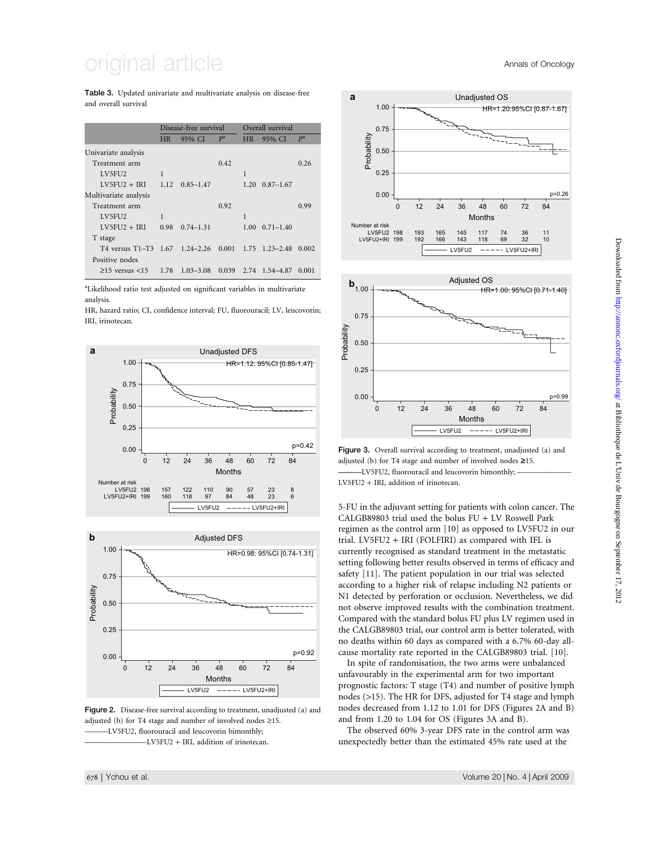## original article **Annals of Oncology**

Table 3. Updated univariate and multivariate analysis on disease-free and overall survival

|                                | Disease-free survival |               |       | Overall survival |                          |       |
|--------------------------------|-----------------------|---------------|-------|------------------|--------------------------|-------|
|                                | <b>HR</b>             | 95% CI        | $P^a$ | HR.              | 95% CI                   | $P^a$ |
| Univariate analysis            |                       |               |       |                  |                          |       |
| Treatment arm                  |                       |               | 0.42  |                  |                          | 0.26  |
| LV5FU2                         | 1                     |               |       | 1                |                          |       |
| $LV5FU2 + IRI$                 | 1.12                  | $0.85 - 1.47$ |       | 1.20             | $0.87 - 1.67$            |       |
| Multivariate analysis          |                       |               |       |                  |                          |       |
| Treatment arm                  |                       |               | 0.92  |                  |                          | 0.99  |
| LV5FU2                         | 1                     |               |       | 1                |                          |       |
| $LV5FU2 + IRI$                 | 0.98                  | $0.74 - 1.31$ |       |                  | $1.00 \quad 0.71 - 1.40$ |       |
| T stage                        |                       |               |       |                  |                          |       |
| T4 versus T1–T3 1.67 1.24–2.26 |                       |               |       |                  | $0.001$ 1.75 1.23-2.48   | 0.002 |
| Positive nodes                 |                       |               |       |                  |                          |       |
| $\geq$ 15 versus <15           | 1.78                  | $1.03 - 3.08$ | 0.039 |                  | 2.74 1.54 - 4.87         | 0.001 |
|                                |                       |               |       |                  |                          |       |

<sup>a</sup>Likelihood ratio test adjusted on significant variables in multivariate analysis.

HR, hazard ratio; CI, confidence interval; FU, fluorouracil; LV, leucovorin; IRI, irinotecan.





Figure 2. Disease-free survival according to treatment, unadjusted (a) and adjusted (b) for T4 stage and number of involved nodes  $\geq$ 15. -LV5FU2, fluorouracil and leucovorin bimonthly; -LV5FU2 + IRI, addition of irinotecan.



Figure 3. Overall survival according to treatment, unadjusted (a) and adjusted (b) for T4 stage and number of involved nodes *‡*15. ———LV5FU2, fluorouracil and leucovorin bimonthly; ——————— LV5FU2 + IRI, addition of irinotecan.

5-FU in the adjuvant setting for patients with colon cancer. The CALGB89803 trial used the bolus FU + LV Roswell Park regimen as the control arm [10] as opposed to LV5FU2 in our trial. LV5FU2 + IRI (FOLFIRI) as compared with IFL is currently recognised as standard treatment in the metastatic setting following better results observed in terms of efficacy and safety [11]. The patient population in our trial was selected according to a higher risk of relapse including N2 patients or N1 detected by perforation or occlusion. Nevertheless, we did not observe improved results with the combination treatment. Compared with the standard bolus FU plus LV regimen used in the CALGB89803 trial, our control arm is better tolerated, with no deaths within 60 days as compared with a 6.7% 60-day allcause mortality rate reported in the CALGB89803 trial. [10].

In spite of randomisation, the two arms were unbalanced unfavourably in the experimental arm for two important prognostic factors: T stage (T4) and number of positive lymph nodes (>15). The HR for DFS, adjusted for T4 stage and lymph nodes decreased from 1.12 to 1.01 for DFS (Figures 2A and B) and from 1.20 to 1.04 for OS (Figures 3A and B).

The observed 60% 3-year DFS rate in the control arm was unexpectedly better than the estimated 45% rate used at the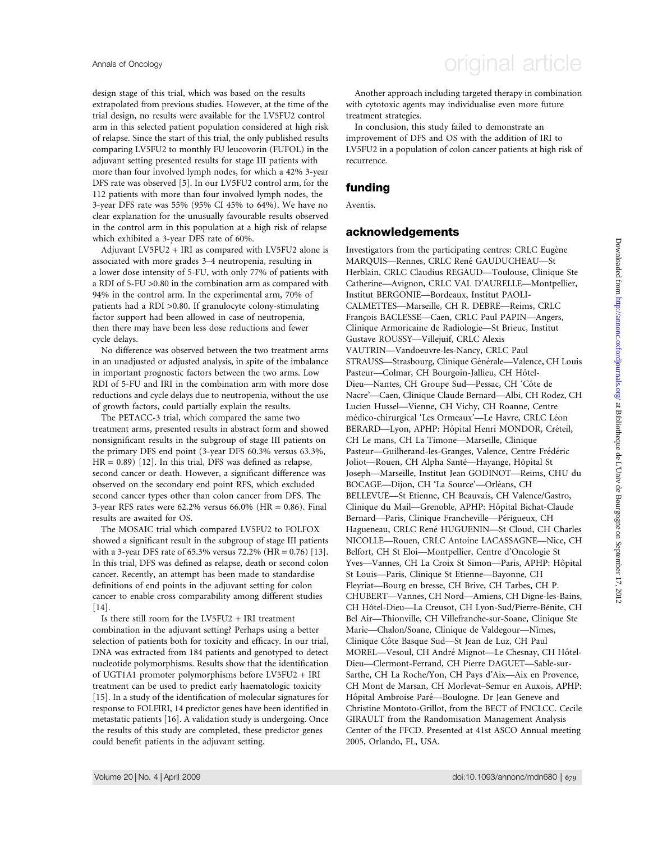design stage of this trial, which was based on the results extrapolated from previous studies. However, at the time of the trial design, no results were available for the LV5FU2 control arm in this selected patient population considered at high risk of relapse. Since the start of this trial, the only published results comparing LV5FU2 to monthly FU leucovorin (FUFOL) in the adjuvant setting presented results for stage III patients with more than four involved lymph nodes, for which a 42% 3-year DFS rate was observed [5]. In our LV5FU2 control arm, for the 112 patients with more than four involved lymph nodes, the 3-year DFS rate was 55% (95% CI 45% to 64%). We have no clear explanation for the unusually favourable results observed in the control arm in this population at a high risk of relapse which exhibited a 3-year DFS rate of 60%.

Adjuvant LV5FU2 + IRI as compared with LV5FU2 alone is associated with more grades 3–4 neutropenia, resulting in a lower dose intensity of 5-FU, with only 77% of patients with a RDI of 5-FU >0.80 in the combination arm as compared with 94% in the control arm. In the experimental arm, 70% of patients had a RDI >0.80. If granulocyte colony-stimulating factor support had been allowed in case of neutropenia, then there may have been less dose reductions and fewer cycle delays.

No difference was observed between the two treatment arms in an unadjusted or adjusted analysis, in spite of the imbalance in important prognostic factors between the two arms. Low RDI of 5-FU and IRI in the combination arm with more dose reductions and cycle delays due to neutropenia, without the use of growth factors, could partially explain the results.

The PETACC-3 trial, which compared the same two treatment arms, presented results in abstract form and showed nonsignificant results in the subgroup of stage III patients on the primary DFS end point (3-year DFS 60.3% versus 63.3%,  $HR = 0.89$  [12]. In this trial, DFS was defined as relapse, second cancer or death. However, a significant difference was observed on the secondary end point RFS, which excluded second cancer types other than colon cancer from DFS. The 3-year RFS rates were  $62.2\%$  versus  $66.0\%$  (HR = 0.86). Final results are awaited for OS.

The MOSAIC trial which compared LV5FU2 to FOLFOX showed a significant result in the subgroup of stage III patients with a 3-year DFS rate of 65.3% versus 72.2% (HR = 0.76) [13]. In this trial, DFS was defined as relapse, death or second colon cancer. Recently, an attempt has been made to standardise definitions of end points in the adjuvant setting for colon cancer to enable cross comparability among different studies [14].

Is there still room for the LV5FU2 + IRI treatment combination in the adjuvant setting? Perhaps using a better selection of patients both for toxicity and efficacy. In our trial, DNA was extracted from 184 patients and genotyped to detect nucleotide polymorphisms. Results show that the identification of UGT1A1 promoter polymorphisms before LV5FU2 + IRI treatment can be used to predict early haematologic toxicity [15]. In a study of the identification of molecular signatures for response to FOLFIRI, 14 predictor genes have been identified in metastatic patients [16]. A validation study is undergoing. Once the results of this study are completed, these predictor genes could benefit patients in the adjuvant setting.

## Annals of Oncology **Annals of Oncology** original article

Downloaded from http://annonc.oxfordjournals.org/ at Bibliotheque de L'Univ de Bourgogne on September 17, 2012 Downloaded from <http://annonc.oxfordjournals.org/> at Bibliotheque de L'Univ de Bourgogne on September 17, 2012

Another approach including targeted therapy in combination with cytotoxic agents may individualise even more future treatment strategies.

In conclusion, this study failed to demonstrate an improvement of DFS and OS with the addition of IRI to LV5FU2 in a population of colon cancer patients at high risk of recurrence.

## funding

Aventis.

### acknowledgements

Investigators from the participating centres: CRLC Eugène MARQUIS—Rennes, CRLC René GAUDUCHEAU—St Herblain, CRLC Claudius REGAUD—Toulouse, Clinique Ste Catherine—Avignon, CRLC VAL D'AURELLE—Montpellier, Institut BERGONIE—Bordeaux, Institut PAOLI-CALMETTES—Marseille, CH R. DEBRE—Reims, CRLC Franc*x*ois BACLESSE—Caen, CRLC Paul PAPIN—Angers, Clinique Armoricaine de Radiologie—St Brieuc, Institut Gustave ROUSSY—Villejuif, CRLC Alexis VAUTRIN—Vandoeuvre-les-Nancy, CRLC Paul STRAUSS—Strasbourg, Clinique Générale—Valence, CH Louis Pasteur-Colmar, CH Bourgoin-Jallieu, CH Hôtel-Dieu-Nantes, CH Groupe Sud-Pessac, CH 'Côte de Nacre'—Caen, Clinique Claude Bernard—Albi, CH Rodez, CH Lucien Hussel—Vienne, CH Vichy, CH Roanne, Centre médico-chirurgical 'Les Ormeaux'—Le Havre, CRLC Léon BERARD—Lyon, APHP: Hôpital Henri MONDOR, Créteil, CH Le mans, CH La Timone—Marseille, Clinique Pasteur—Guilherand-les-Granges, Valence, Centre Frédéric Joliot—Rouen, CH Alpha Santé—Hayange, Hôpital St Joseph—Marseille, Institut Jean GODINOT—Reims, CHU du BOCAGE-Dijon, CH 'La Source'-Orléans, CH BELLEVUE—St Etienne, CH Beauvais, CH Valence/Gastro, Clinique du Mail—Grenoble, APHP: Hôpital Bichat-Claude Bernard—Paris, Clinique Francheville—Périgueux, CH Hagueneau, CRLC René HUGUENIN-St Cloud, CH Charles NICOLLE—Rouen, CRLC Antoine LACASSAGNE—Nice, CH Belfort, CH St Eloi—Montpellier, Centre d'Oncologie St Yves—Vannes, CH La Croix St Simon—Paris, APHP: Hôpital St Louis—Paris, Clinique St Etienne—Bayonne, CH Fleyriat—Bourg en bresse, CH Brive, CH Tarbes, CH P. CHUBERT—Vannes, CH Nord—Amiens, CH Digne-les-Bains, CH Hôtel-Dieu-La Creusot, CH Lyon-Sud/Pierre-Bénite, CH Bel Air—Thionville, CH Villefranche-sur-Soane, Clinique Ste Marie—Chalon/Soane, Clinique de Valdegour—Nîmes, Clinique Côte Basque Sud—St Jean de Luz, CH Paul MOREL-Vesoul, CH André Mignot-Le Chesnay, CH Hôtel-Dieu—Clermont-Ferrand, CH Pierre DAGUET—Sable-sur-Sarthe, CH La Roche/Yon, CH Pays d'Aix—Aix en Provence, CH Mont de Marsan, CH Morlevat–Semur en Auxois, APHP: Hôpital Ambroise Paré-Boulogne. Dr Jean Geneve and Christine Montoto-Grillot, from the BECT of FNCLCC. Cecile GIRAULT from the Randomisation Management Analysis Center of the FFCD. Presented at 41st ASCO Annual meeting 2005, Orlando, FL, USA.